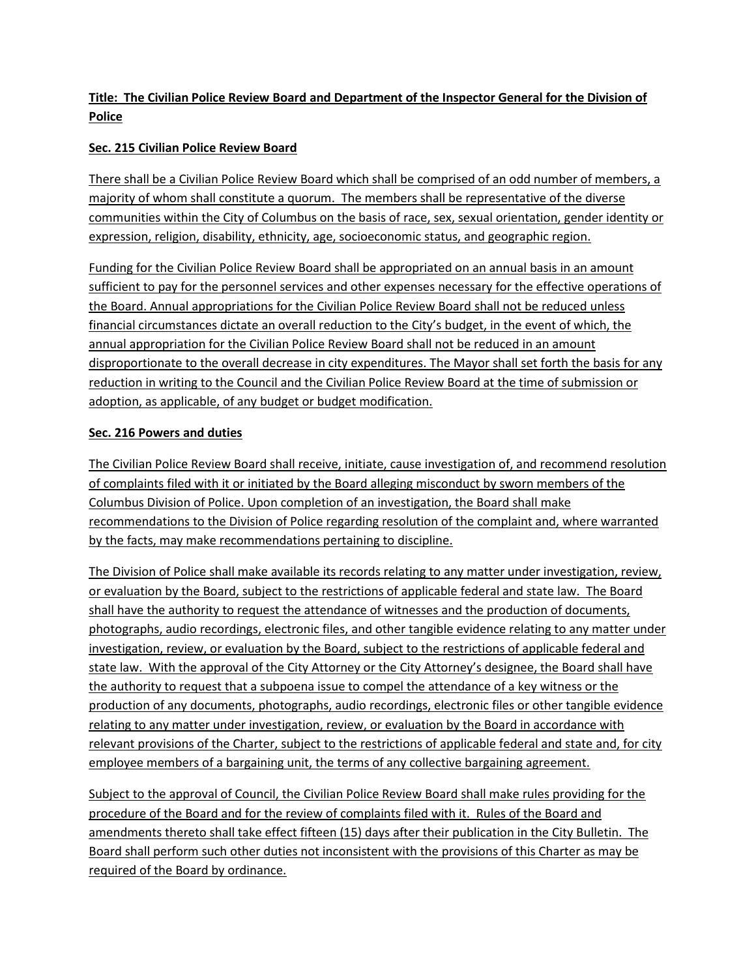# **Title: The Civilian Police Review Board and Department of the Inspector General for the Division of Police**

## **Sec. 215 Civilian Police Review Board**

There shall be a Civilian Police Review Board which shall be comprised of an odd number of members, a majority of whom shall constitute a quorum. The members shall be representative of the diverse communities within the City of Columbus on the basis of race, sex, sexual orientation, gender identity or expression, religion, disability, ethnicity, age, socioeconomic status, and geographic region.

Funding for the Civilian Police Review Board shall be appropriated on an annual basis in an amount sufficient to pay for the personnel services and other expenses necessary for the effective operations of the Board. Annual appropriations for the Civilian Police Review Board shall not be reduced unless financial circumstances dictate an overall reduction to the City's budget, in the event of which, the annual appropriation for the Civilian Police Review Board shall not be reduced in an amount disproportionate to the overall decrease in city expenditures. The Mayor shall set forth the basis for any reduction in writing to the Council and the Civilian Police Review Board at the time of submission or adoption, as applicable, of any budget or budget modification.

### **Sec. 216 Powers and duties**

The Civilian Police Review Board shall receive, initiate, cause investigation of, and recommend resolution of complaints filed with it or initiated by the Board alleging misconduct by sworn members of the Columbus Division of Police. Upon completion of an investigation, the Board shall make recommendations to the Division of Police regarding resolution of the complaint and, where warranted by the facts, may make recommendations pertaining to discipline.

The Division of Police shall make available its records relating to any matter under investigation, review, or evaluation by the Board, subject to the restrictions of applicable federal and state law. The Board shall have the authority to request the attendance of witnesses and the production of documents, photographs, audio recordings, electronic files, and other tangible evidence relating to any matter under investigation, review, or evaluation by the Board, subject to the restrictions of applicable federal and state law. With the approval of the City Attorney or the City Attorney's designee, the Board shall have the authority to request that a subpoena issue to compel the attendance of a key witness or the production of any documents, photographs, audio recordings, electronic files or other tangible evidence relating to any matter under investigation, review, or evaluation by the Board in accordance with relevant provisions of the Charter, subject to the restrictions of applicable federal and state and, for city employee members of a bargaining unit, the terms of any collective bargaining agreement.

Subject to the approval of Council, the Civilian Police Review Board shall make rules providing for the procedure of the Board and for the review of complaints filed with it. Rules of the Board and amendments thereto shall take effect fifteen (15) days after their publication in the City Bulletin. The Board shall perform such other duties not inconsistent with the provisions of this Charter as may be required of the Board by ordinance.